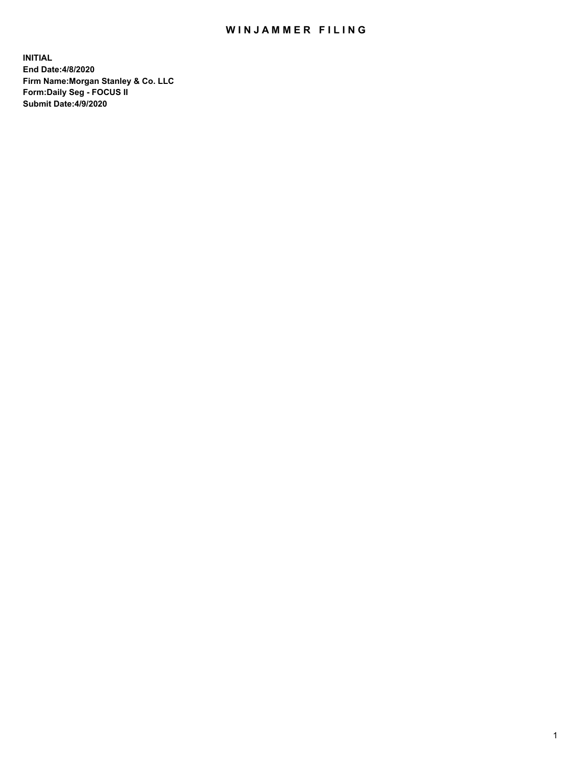## WIN JAMMER FILING

**INITIAL End Date:4/8/2020 Firm Name:Morgan Stanley & Co. LLC Form:Daily Seg - FOCUS II Submit Date:4/9/2020**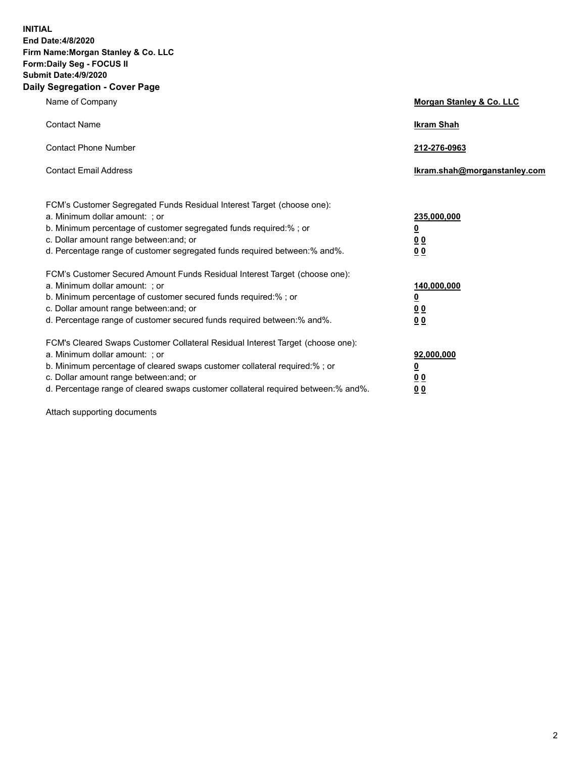**INITIAL End Date:4/8/2020 Firm Name:Morgan Stanley & Co. LLC Form:Daily Seg - FOCUS II Submit Date:4/9/2020 Daily Segregation - Cover Page**

| Name of Company                                                                                                                                                                                                                                                                                                                | Morgan Stanley & Co. LLC                                    |
|--------------------------------------------------------------------------------------------------------------------------------------------------------------------------------------------------------------------------------------------------------------------------------------------------------------------------------|-------------------------------------------------------------|
| <b>Contact Name</b>                                                                                                                                                                                                                                                                                                            | <b>Ikram Shah</b>                                           |
| <b>Contact Phone Number</b>                                                                                                                                                                                                                                                                                                    | 212-276-0963                                                |
| <b>Contact Email Address</b>                                                                                                                                                                                                                                                                                                   | lkram.shah@morganstanley.com                                |
| FCM's Customer Segregated Funds Residual Interest Target (choose one):<br>a. Minimum dollar amount: ; or<br>b. Minimum percentage of customer segregated funds required:% ; or<br>c. Dollar amount range between: and; or<br>d. Percentage range of customer segregated funds required between: % and %.                       | 235,000,000<br><u>0</u><br><u>00</u><br>0 Q                 |
| FCM's Customer Secured Amount Funds Residual Interest Target (choose one):<br>a. Minimum dollar amount: : or<br>b. Minimum percentage of customer secured funds required:%; or<br>c. Dollar amount range between: and; or<br>d. Percentage range of customer secured funds required between:% and%.                            | 140,000,000<br><u>0</u><br>0 <sub>0</sub><br>0 <sub>0</sub> |
| FCM's Cleared Swaps Customer Collateral Residual Interest Target (choose one):<br>a. Minimum dollar amount: ; or<br>b. Minimum percentage of cleared swaps customer collateral required:% ; or<br>c. Dollar amount range between: and; or<br>d. Percentage range of cleared swaps customer collateral required between:% and%. | 92,000,000<br><u>0</u><br>0 Q<br>0 <sub>0</sub>             |

Attach supporting documents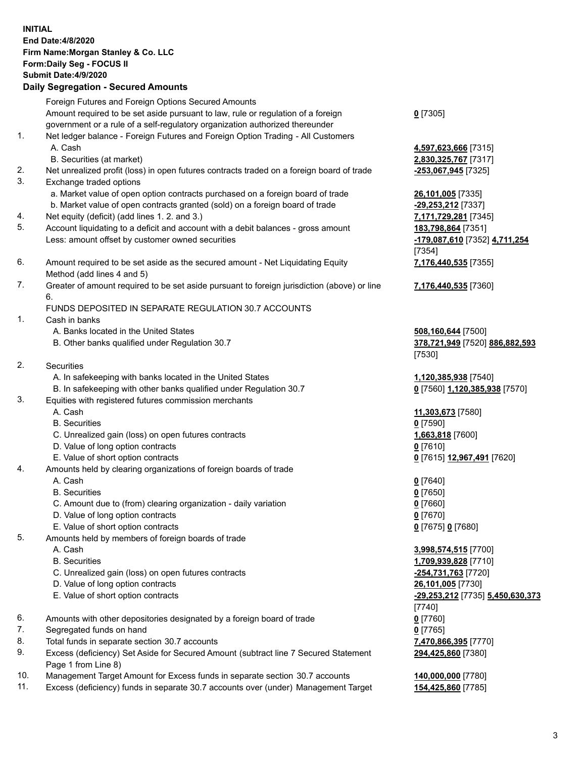|          | <b>INITIAL</b><br>End Date: 4/8/2020                                                                                               |                                                       |
|----------|------------------------------------------------------------------------------------------------------------------------------------|-------------------------------------------------------|
|          | Firm Name: Morgan Stanley & Co. LLC                                                                                                |                                                       |
|          | Form: Daily Seg - FOCUS II                                                                                                         |                                                       |
|          | Submit Date: 4/9/2020                                                                                                              |                                                       |
|          | <b>Daily Segregation - Secured Amounts</b>                                                                                         |                                                       |
|          | Foreign Futures and Foreign Options Secured Amounts                                                                                |                                                       |
|          | Amount required to be set aside pursuant to law, rule or regulation of a foreign                                                   | $0$ [7305]                                            |
|          | government or a rule of a self-regulatory organization authorized thereunder                                                       |                                                       |
| 1.       | Net ledger balance - Foreign Futures and Foreign Option Trading - All Customers                                                    |                                                       |
|          | A. Cash                                                                                                                            | 4,597,623,666 [7315]                                  |
|          | B. Securities (at market)                                                                                                          | 2,830,325,767 [7317]                                  |
| 2.       | Net unrealized profit (loss) in open futures contracts traded on a foreign board of trade                                          | -253,067,945 [7325]                                   |
| 3.       | Exchange traded options                                                                                                            |                                                       |
|          | a. Market value of open option contracts purchased on a foreign board of trade                                                     | 26,101,005 [7335]                                     |
|          | b. Market value of open contracts granted (sold) on a foreign board of trade                                                       | -29,253,212 [7337]                                    |
| 4.<br>5. | Net equity (deficit) (add lines 1. 2. and 3.)<br>Account liquidating to a deficit and account with a debit balances - gross amount | 7,171,729,281 [7345]<br>183,798,864 [7351]            |
|          | Less: amount offset by customer owned securities                                                                                   | -179,087,610 [7352] 4,711,254                         |
|          |                                                                                                                                    | $[7354]$                                              |
| 6.       | Amount required to be set aside as the secured amount - Net Liquidating Equity                                                     | 7,176,440,535 [7355]                                  |
|          | Method (add lines 4 and 5)                                                                                                         |                                                       |
| 7.       | Greater of amount required to be set aside pursuant to foreign jurisdiction (above) or line                                        | 7,176,440,535 [7360]                                  |
|          | 6.                                                                                                                                 |                                                       |
|          | FUNDS DEPOSITED IN SEPARATE REGULATION 30.7 ACCOUNTS                                                                               |                                                       |
| 1.       | Cash in banks                                                                                                                      |                                                       |
|          | A. Banks located in the United States                                                                                              | 508,160,644 [7500]                                    |
|          | B. Other banks qualified under Regulation 30.7                                                                                     | 378,721,949 [7520] 886,882,593                        |
|          |                                                                                                                                    | [7530]                                                |
| 2.       | <b>Securities</b>                                                                                                                  |                                                       |
|          | A. In safekeeping with banks located in the United States<br>B. In safekeeping with other banks qualified under Regulation 30.7    | 1,120,385,938 [7540]<br>0 [7560] 1,120,385,938 [7570] |
| 3.       | Equities with registered futures commission merchants                                                                              |                                                       |
|          | A. Cash                                                                                                                            | 11,303,673 [7580]                                     |
|          | <b>B.</b> Securities                                                                                                               | $0$ [7590]                                            |
|          | C. Unrealized gain (loss) on open futures contracts                                                                                | 1,663,818 [7600]                                      |
|          | D. Value of long option contracts                                                                                                  | $0$ [7610]                                            |
|          | E. Value of short option contracts                                                                                                 | 0 [7615] 12,967,491 [7620]                            |
| 4.       | Amounts held by clearing organizations of foreign boards of trade                                                                  |                                                       |
|          | A. Cash                                                                                                                            | 0 <sup>[7640]</sup>                                   |
|          | <b>B.</b> Securities                                                                                                               | $0$ [7650]                                            |
|          | C. Amount due to (from) clearing organization - daily variation                                                                    | $0$ [7660]                                            |
|          | D. Value of long option contracts<br>E. Value of short option contracts                                                            | $0$ [7670]<br>0 [7675] 0 [7680]                       |
| 5.       | Amounts held by members of foreign boards of trade                                                                                 |                                                       |
|          | A. Cash                                                                                                                            | 3,998,574,515 [7700]                                  |
|          | <b>B.</b> Securities                                                                                                               | 1,709,939,828 [7710]                                  |
|          | C. Unrealized gain (loss) on open futures contracts                                                                                | -254,731,763 [7720]                                   |
|          | D. Value of long option contracts                                                                                                  | 26,101,005 [7730]                                     |
|          | E. Value of short option contracts                                                                                                 | -29,253,212 [7735] 5,450,630,373                      |
|          |                                                                                                                                    | $[7740]$                                              |
| 6.       | Amounts with other depositories designated by a foreign board of trade                                                             | $0$ [7760]                                            |
| 7.       | Segregated funds on hand                                                                                                           | $0$ [7765]                                            |
| 8.       | Total funds in separate section 30.7 accounts                                                                                      | 7,470,866,395 [7770]                                  |
| 9.       | Excess (deficiency) Set Aside for Secured Amount (subtract line 7 Secured Statement                                                | 294,425,860 [7380]                                    |
| 10.      | Page 1 from Line 8)<br>Management Target Amount for Excess funds in separate section 30.7 accounts                                 | 140,000,000 [7780]                                    |
| 11.      | Excess (deficiency) funds in separate 30.7 accounts over (under) Management Target                                                 | 154,425,860 [7785]                                    |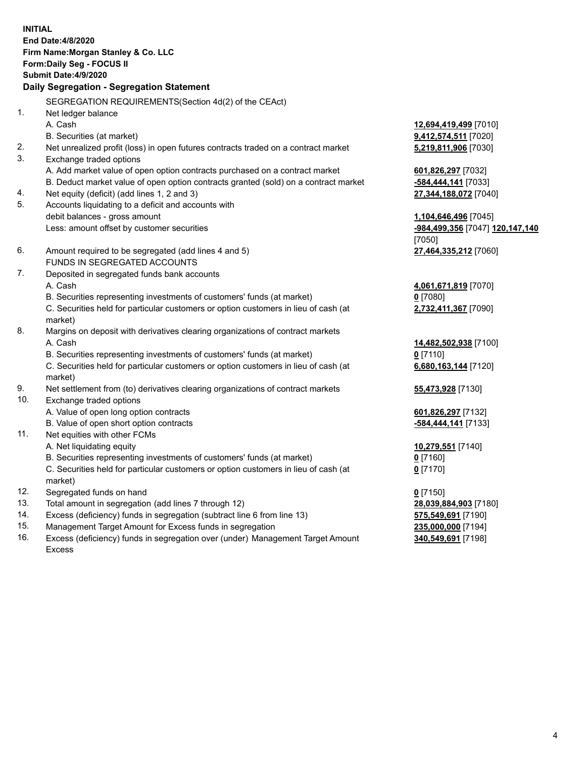| <b>INITIAL</b> | End Date: 4/8/2020<br>Firm Name: Morgan Stanley & Co. LLC<br>Form: Daily Seg - FOCUS II<br><b>Submit Date:4/9/2020</b><br>Daily Segregation - Segregation Statement                           |                                                                       |
|----------------|-----------------------------------------------------------------------------------------------------------------------------------------------------------------------------------------------|-----------------------------------------------------------------------|
|                | SEGREGATION REQUIREMENTS(Section 4d(2) of the CEAct)                                                                                                                                          |                                                                       |
| 1.             |                                                                                                                                                                                               |                                                                       |
| 2.             | Net ledger balance<br>A. Cash<br>B. Securities (at market)<br>Net unrealized profit (loss) in open futures contracts traded on a contract market                                              | 12,694,419,499 [7010]<br>9,412,574,511 [7020]<br>5,219,811,906 [7030] |
| 3.             | Exchange traded options<br>A. Add market value of open option contracts purchased on a contract market<br>B. Deduct market value of open option contracts granted (sold) on a contract market | 601,826,297 [7032]<br>-584,444,141 [7033]                             |
| 4.<br>5.       | Net equity (deficit) (add lines 1, 2 and 3)<br>Accounts liquidating to a deficit and accounts with                                                                                            | 27,344,188,072 [7040]                                                 |
|                | debit balances - gross amount<br>Less: amount offset by customer securities                                                                                                                   | 1,104,646,496 [7045]<br>-984,499,356 [7047] 120,147,140<br>[7050]     |
| 6.             | Amount required to be segregated (add lines 4 and 5)<br>FUNDS IN SEGREGATED ACCOUNTS                                                                                                          | 27,464,335,212 [7060]                                                 |
| 7.             | Deposited in segregated funds bank accounts                                                                                                                                                   |                                                                       |
|                | A. Cash                                                                                                                                                                                       | 4,061,671,819 [7070]                                                  |
|                | B. Securities representing investments of customers' funds (at market)                                                                                                                        | $0$ [7080]                                                            |
|                | C. Securities held for particular customers or option customers in lieu of cash (at<br>market)                                                                                                | 2,732,411,367 [7090]                                                  |
| 8.             | Margins on deposit with derivatives clearing organizations of contract markets                                                                                                                |                                                                       |
|                | A. Cash                                                                                                                                                                                       | 14,482,502,938 [7100]                                                 |
|                | B. Securities representing investments of customers' funds (at market)                                                                                                                        | $0$ [7110]                                                            |
|                | C. Securities held for particular customers or option customers in lieu of cash (at<br>market)                                                                                                | 6,680,163,144 [7120]                                                  |
| 9.             | Net settlement from (to) derivatives clearing organizations of contract markets                                                                                                               | 55,473,928 [7130]                                                     |
| 10.            | Exchange traded options                                                                                                                                                                       |                                                                       |
|                | A. Value of open long option contracts                                                                                                                                                        | 601,826,297 [7132]                                                    |
|                | B. Value of open short option contracts                                                                                                                                                       | -584,444,141 [7133]                                                   |
| 11.            | Net equities with other FCMs                                                                                                                                                                  |                                                                       |
|                | A. Net liquidating equity                                                                                                                                                                     | 10,279,551 [7140]                                                     |
|                | B. Securities representing investments of customers' funds (at market)                                                                                                                        | $0$ [7160]                                                            |
|                | C. Securities held for particular customers or option customers in lieu of cash (at<br>market)                                                                                                | $0$ [7170]                                                            |
| 12.            | Segregated funds on hand                                                                                                                                                                      | $0$ [7150]                                                            |
| 13.            | Total amount in segregation (add lines 7 through 12)                                                                                                                                          | 28,039,884,903 [7180]                                                 |
| 14.            | Excess (deficiency) funds in segregation (subtract line 6 from line 13)                                                                                                                       | 575,549,691 [7190]                                                    |
|                |                                                                                                                                                                                               |                                                                       |

- 15. Management Target Amount for Excess funds in segregation<br>16. Excess (deficiency) funds in segregation over (under) Management Target Amount **235,000,549,691** [7198] Excess (deficiency) funds in segregation over (under) Management Target Amount
	- Excess

**340,549,691** [7198]